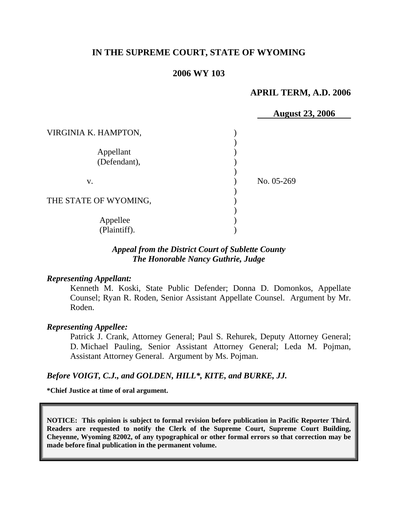# **IN THE SUPREME COURT, STATE OF WYOMING**

## **2006 WY 103**

### **APRIL TERM, A.D. 2006**

|                       | <b>August 23, 2006</b> |
|-----------------------|------------------------|
| VIRGINIA K. HAMPTON,  |                        |
|                       |                        |
| Appellant             |                        |
| (Defendant),          |                        |
|                       |                        |
| V.                    | No. 05-269             |
|                       |                        |
| THE STATE OF WYOMING, |                        |
|                       |                        |
| Appellee              |                        |
| (Plaintiff).          |                        |

## *Appeal from the District Court of Sublette County The Honorable Nancy Guthrie, Judge*

#### *Representing Appellant:*

Kenneth M. Koski, State Public Defender; Donna D. Domonkos, Appellate Counsel; Ryan R. Roden, Senior Assistant Appellate Counsel. Argument by Mr. Roden.

#### *Representing Appellee:*

Patrick J. Crank, Attorney General; Paul S. Rehurek, Deputy Attorney General; D. Michael Pauling, Senior Assistant Attorney General; Leda M. Pojman, Assistant Attorney General. Argument by Ms. Pojman.

#### *Before VOIGT, C.J., and GOLDEN, HILL\*, KITE, and BURKE, JJ.*

**\*Chief Justice at time of oral argument.** 

**NOTICE: This opinion is subject to formal revision before publication in Pacific Reporter Third. Readers are requested to notify the Clerk of the Supreme Court, Supreme Court Building, Cheyenne, Wyoming 82002, of any typographical or other formal errors so that correction may be made before final publication in the permanent volume.**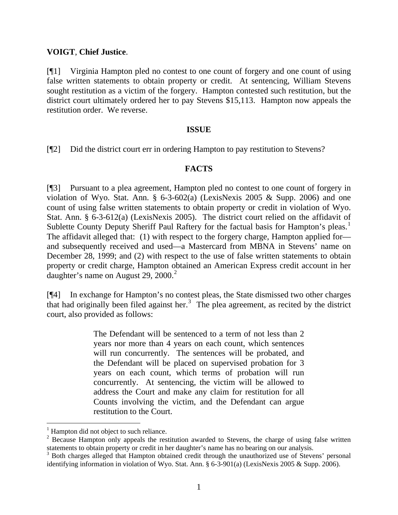### **VOIGT**, **Chief Justice**.

[¶1] Virginia Hampton pled no contest to one count of forgery and one count of using false written statements to obtain property or credit. At sentencing, William Stevens sought restitution as a victim of the forgery. Hampton contested such restitution, but the district court ultimately ordered her to pay Stevens \$15,113. Hampton now appeals the restitution order. We reverse.

### **ISSUE**

[¶2] Did the district court err in ordering Hampton to pay restitution to Stevens?

# **FACTS**

[¶3] Pursuant to a plea agreement, Hampton pled no contest to one count of forgery in violation of Wyo. Stat. Ann.  $\S$  6-3-602(a) (LexisNexis 2005 & Supp. 2006) and one count of using false written statements to obtain property or credit in violation of Wyo. Stat. Ann. § 6-3-612(a) (LexisNexis 2005). The district court relied on the affidavit of Sublette County Deputy Sheriff Paul Raftery for the factual basis for Hampton's pleas.<sup>[1](#page-1-0)</sup> The affidavit alleged that: (1) with respect to the forgery charge, Hampton applied for and subsequently received and used—a Mastercard from MBNA in Stevens' name on December 28, 1999; and (2) with respect to the use of false written statements to obtain property or credit charge, Hampton obtained an American Express credit account in her daughter's name on August [2](#page-1-1)9, 2000.<sup>2</sup>

[¶4] In exchange for Hampton's no contest pleas, the State dismissed two other charges that had originally been filed against her.<sup>[3](#page-1-2)</sup> The plea agreement, as recited by the district court, also provided as follows:

> The Defendant will be sentenced to a term of not less than 2 years nor more than 4 years on each count, which sentences will run concurrently. The sentences will be probated, and the Defendant will be placed on supervised probation for 3 years on each count, which terms of probation will run concurrently. At sentencing, the victim will be allowed to address the Court and make any claim for restitution for all Counts involving the victim, and the Defendant can argue restitution to the Court.

 $\overline{a}$ 

<span id="page-1-0"></span><sup>&</sup>lt;sup>1</sup> Hampton did not object to such reliance.

<span id="page-1-1"></span> $2^2$  Because Hampton only appeals the restitution awarded to Stevens, the charge of using false written statements to obtain property or credit in her daughter's name has no bearing on our analysis.

<span id="page-1-2"></span><sup>&</sup>lt;sup>3</sup> Both charges alleged that Hampton obtained credit through the unauthorized use of Stevens' personal identifying information in violation of Wyo. Stat. Ann. § 6-3-901(a) (LexisNexis 2005 & Supp. 2006).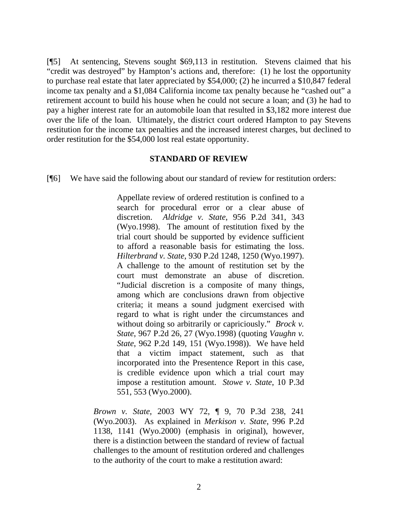[¶5] At sentencing, Stevens sought \$69,113 in restitution. Stevens claimed that his "credit was destroyed" by Hampton's actions and, therefore: (1) he lost the opportunity to purchase real estate that later appreciated by \$54,000; (2) he incurred a \$10,847 federal income tax penalty and a \$1,084 California income tax penalty because he "cashed out" a retirement account to build his house when he could not secure a loan; and (3) he had to pay a higher interest rate for an automobile loan that resulted in \$3,182 more interest due over the life of the loan. Ultimately, the district court ordered Hampton to pay Stevens restitution for the income tax penalties and the increased interest charges, but declined to order restitution for the \$54,000 lost real estate opportunity.

### **STANDARD OF REVIEW**

[¶6] We have said the following about our standard of review for restitution orders:

Appellate review of ordered restitution is confined to a search for procedural error or a clear abuse of discretion. *Aldridge v. State*, 956 P.2d 341, 343 (Wyo.1998). The amount of restitution fixed by the trial court should be supported by evidence sufficient to afford a reasonable basis for estimating the loss. *Hilterbrand v. State*, 930 P.2d 1248, 1250 (Wyo.1997). A challenge to the amount of restitution set by the court must demonstrate an abuse of discretion. "Judicial discretion is a composite of many things, among which are conclusions drawn from objective criteria; it means a sound judgment exercised with regard to what is right under the circumstances and without doing so arbitrarily or capriciously." *Brock v. State*, 967 P.2d 26, 27 (Wyo.1998) (quoting *Vaughn v. State*, 962 P.2d 149, 151 (Wyo.1998)). We have held that a victim impact statement, such as that incorporated into the Presentence Report in this case, is credible evidence upon which a trial court may impose a restitution amount. *Stowe v. State*, 10 P.3d 551, 553 (Wyo.2000).

*Brown v. State*, 2003 WY 72, ¶ 9, 70 P.3d 238, 241 (Wyo.2003). As explained in *Merkison v. State*, 996 P.2d 1138, 1141 (Wyo.2000) (emphasis in original), however, there is a distinction between the standard of review of factual challenges to the amount of restitution ordered and challenges to the authority of the court to make a restitution award: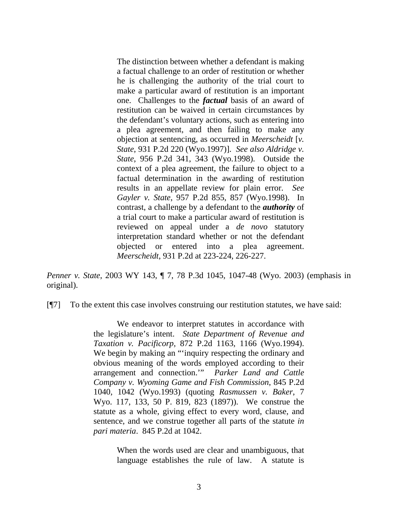The distinction between whether a defendant is making a factual challenge to an order of restitution or whether he is challenging the authority of the trial court to make a particular award of restitution is an important one. Challenges to the *factual* basis of an award of restitution can be waived in certain circumstances by the defendant's voluntary actions, such as entering into a plea agreement, and then failing to make any objection at sentencing, as occurred in *Meerscheidt* [*v. State*, 931 P.2d 220 (Wyo.1997)]. *See also Aldridge v. State*, 956 P.2d 341, 343 (Wyo.1998). Outside the context of a plea agreement, the failure to object to a factual determination in the awarding of restitution results in an appellate review for plain error. *See Gayler v. State*, 957 P.2d 855, 857 (Wyo.1998). In contrast, a challenge by a defendant to the *authority* of a trial court to make a particular award of restitution is reviewed on appeal under a *de novo* statutory interpretation standard whether or not the defendant objected or entered into a plea agreement. *Meerscheidt*, 931 P.2d at 223-224, 226-227.

*Penner v. State*, 2003 WY 143, ¶ 7, 78 P.3d 1045, 1047-48 (Wyo. 2003) (emphasis in original).

[¶7] To the extent this case involves construing our restitution statutes, we have said:

 We endeavor to interpret statutes in accordance with the legislature's intent. *State Department of Revenue and Taxation v. Pacificorp*, 872 P.2d 1163, 1166 (Wyo.1994). We begin by making an "'inquiry respecting the ordinary and obvious meaning of the words employed according to their arrangement and connection.'" *Parker Land and Cattle Company v. Wyoming Game and Fish Commission*, 845 P.2d 1040, 1042 (Wyo.1993) (quoting *Rasmussen v. Baker*, 7 Wyo. 117, 133, 50 P. 819, 823 (1897)). We construe the statute as a whole, giving effect to every word, clause, and sentence, and we construe together all parts of the statute *in pari materia*. 845 P.2d at 1042.

> When the words used are clear and unambiguous, that language establishes the rule of law. A statute is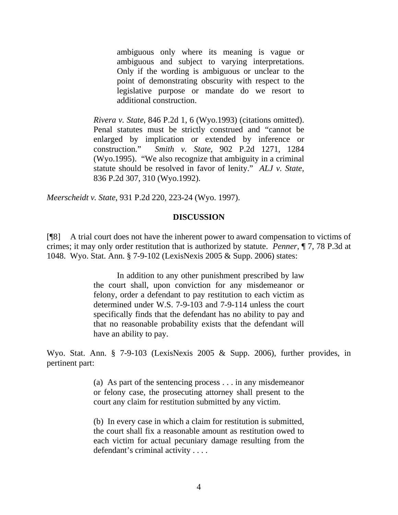ambiguous only where its meaning is vague or ambiguous and subject to varying interpretations. Only if the wording is ambiguous or unclear to the point of demonstrating obscurity with respect to the legislative purpose or mandate do we resort to additional construction.

*Rivera v. State*, 846 P.2d 1, 6 (Wyo.1993) (citations omitted). Penal statutes must be strictly construed and "cannot be enlarged by implication or extended by inference or construction." *Smith v. State*, 902 P.2d 1271, 1284 (Wyo.1995). "We also recognize that ambiguity in a criminal statute should be resolved in favor of lenity." *ALJ v. State*, 836 P.2d 307, 310 (Wyo.1992).

*Meerscheidt v. State*, 931 P.2d 220, 223-24 (Wyo. 1997).

#### **DISCUSSION**

[¶8] A trial court does not have the inherent power to award compensation to victims of crimes; it may only order restitution that is authorized by statute. *Penner*, ¶ 7, 78 P.3d at 1048. Wyo. Stat. Ann. § 7-9-102 (LexisNexis 2005 & Supp. 2006) states:

> In addition to any other punishment prescribed by law the court shall, upon conviction for any misdemeanor or felony, order a defendant to pay restitution to each victim as determined under W.S. 7-9-103 and 7-9-114 unless the court specifically finds that the defendant has no ability to pay and that no reasonable probability exists that the defendant will have an ability to pay.

Wyo. Stat. Ann. § 7-9-103 (LexisNexis 2005 & Supp. 2006), further provides, in pertinent part:

> (a) As part of the sentencing process . . . in any misdemeanor or felony case, the prosecuting attorney shall present to the court any claim for restitution submitted by any victim.

> (b) In every case in which a claim for restitution is submitted, the court shall fix a reasonable amount as restitution owed to each victim for actual pecuniary damage resulting from the defendant's criminal activity . . . .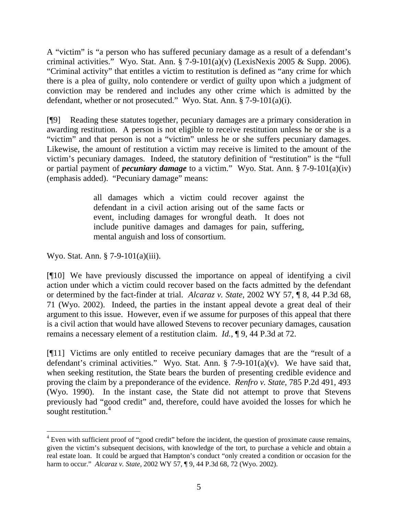A "victim" is "a person who has suffered pecuniary damage as a result of a defendant's criminal activities." Wyo. Stat. Ann. § 7-9-101(a)(v) (LexisNexis 2005 & Supp. 2006). "Criminal activity" that entitles a victim to restitution is defined as "any crime for which there is a plea of guilty, nolo contendere or verdict of guilty upon which a judgment of conviction may be rendered and includes any other crime which is admitted by the defendant, whether or not prosecuted." Wyo. Stat. Ann. § 7-9-101(a)(i).

[¶9] Reading these statutes together, pecuniary damages are a primary consideration in awarding restitution. A person is not eligible to receive restitution unless he or she is a "victim" and that person is not a "victim" unless he or she suffers pecuniary damages. Likewise, the amount of restitution a victim may receive is limited to the amount of the victim's pecuniary damages. Indeed, the statutory definition of "restitution" is the "full or partial payment of *pecuniary damage* to a victim." Wyo. Stat. Ann. § 7-9-101(a)(iv) (emphasis added). "Pecuniary damage" means:

> all damages which a victim could recover against the defendant in a civil action arising out of the same facts or event, including damages for wrongful death. It does not include punitive damages and damages for pain, suffering, mental anguish and loss of consortium.

Wyo. Stat. Ann. § 7-9-101(a)(iii).

[¶10] We have previously discussed the importance on appeal of identifying a civil action under which a victim could recover based on the facts admitted by the defendant or determined by the fact-finder at trial. *Alcaraz v. State*, 2002 WY 57, ¶ 8, 44 P.3d 68, 71 (Wyo. 2002). Indeed, the parties in the instant appeal devote a great deal of their argument to this issue. However, even if we assume for purposes of this appeal that there is a civil action that would have allowed Stevens to recover pecuniary damages, causation remains a necessary element of a restitution claim. *Id.*, ¶ 9, 44 P.3d at 72.

[¶11] Victims are only entitled to receive pecuniary damages that are the "result of a defendant's criminal activities." Wyo. Stat. Ann. § 7-9-101(a)(v). We have said that, when seeking restitution, the State bears the burden of presenting credible evidence and proving the claim by a preponderance of the evidence. *Renfro v. State*, 785 P.2d 491, 493 (Wyo. 1990). In the instant case, the State did not attempt to prove that Stevens previously had "good credit" and, therefore, could have avoided the losses for which he sought restitution.<sup>[4](#page-5-0)</sup>

<span id="page-5-0"></span> $4$  Even with sufficient proof of "good credit" before the incident, the question of proximate cause remains, given the victim's subsequent decisions, with knowledge of the tort, to purchase a vehicle and obtain a real estate loan. It could be argued that Hampton's conduct "only created a condition or occasion for the harm to occur." *Alcaraz v. State,* 2002 WY 57, ¶ 9, 44 P.3d 68, 72 (Wyo. 2002).